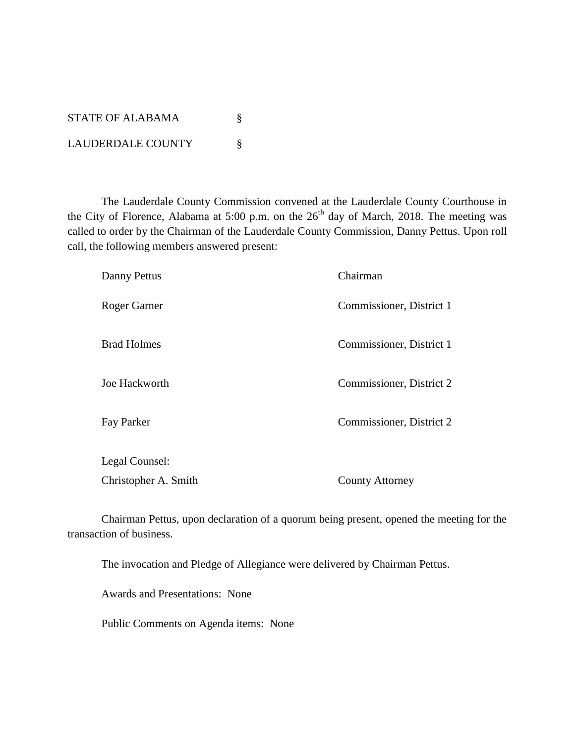| <b>STATE OF ALABAMA</b>  |  |
|--------------------------|--|
| <b>LAUDERDALE COUNTY</b> |  |

The Lauderdale County Commission convened at the Lauderdale County Courthouse in the City of Florence, Alabama at 5:00 p.m. on the  $26<sup>th</sup>$  day of March, 2018. The meeting was called to order by the Chairman of the Lauderdale County Commission, Danny Pettus. Upon roll call, the following members answered present:

| Danny Pettus                           | Chairman                 |
|----------------------------------------|--------------------------|
| Roger Garner                           | Commissioner, District 1 |
| <b>Brad Holmes</b>                     | Commissioner, District 1 |
| Joe Hackworth                          | Commissioner, District 2 |
| Fay Parker                             | Commissioner, District 2 |
| Legal Counsel:<br>Christopher A. Smith | <b>County Attorney</b>   |

Chairman Pettus, upon declaration of a quorum being present, opened the meeting for the transaction of business.

The invocation and Pledge of Allegiance were delivered by Chairman Pettus.

Awards and Presentations: None

Public Comments on Agenda items: None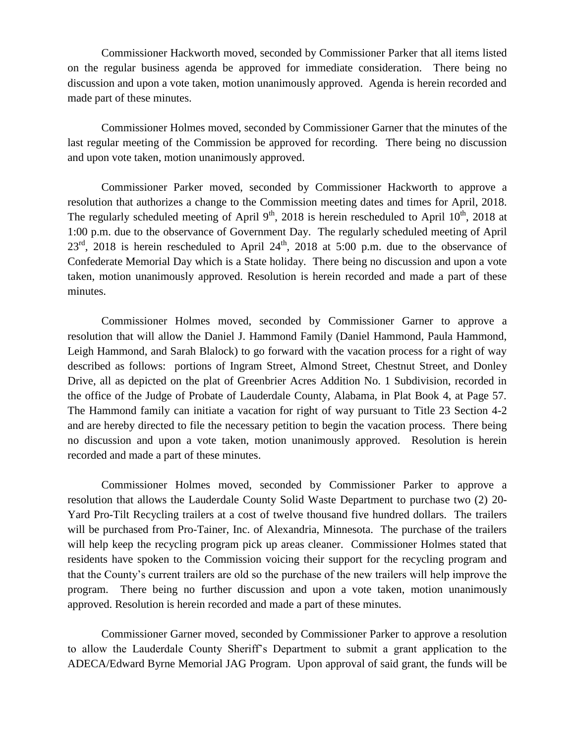Commissioner Hackworth moved, seconded by Commissioner Parker that all items listed on the regular business agenda be approved for immediate consideration. There being no discussion and upon a vote taken, motion unanimously approved. Agenda is herein recorded and made part of these minutes.

Commissioner Holmes moved, seconded by Commissioner Garner that the minutes of the last regular meeting of the Commission be approved for recording. There being no discussion and upon vote taken, motion unanimously approved.

Commissioner Parker moved, seconded by Commissioner Hackworth to approve a resolution that authorizes a change to the Commission meeting dates and times for April, 2018. The regularly scheduled meeting of April  $9<sup>th</sup>$ , 2018 is herein rescheduled to April  $10<sup>th</sup>$ , 2018 at 1:00 p.m. due to the observance of Government Day. The regularly scheduled meeting of April  $23<sup>rd</sup>$ , 2018 is herein rescheduled to April  $24<sup>th</sup>$ , 2018 at 5:00 p.m. due to the observance of Confederate Memorial Day which is a State holiday. There being no discussion and upon a vote taken, motion unanimously approved. Resolution is herein recorded and made a part of these minutes.

Commissioner Holmes moved, seconded by Commissioner Garner to approve a resolution that will allow the Daniel J. Hammond Family (Daniel Hammond, Paula Hammond, Leigh Hammond, and Sarah Blalock) to go forward with the vacation process for a right of way described as follows: portions of Ingram Street, Almond Street, Chestnut Street, and Donley Drive, all as depicted on the plat of Greenbrier Acres Addition No. 1 Subdivision, recorded in the office of the Judge of Probate of Lauderdale County, Alabama, in Plat Book 4, at Page 57. The Hammond family can initiate a vacation for right of way pursuant to Title 23 Section 4-2 and are hereby directed to file the necessary petition to begin the vacation process. There being no discussion and upon a vote taken, motion unanimously approved. Resolution is herein recorded and made a part of these minutes.

Commissioner Holmes moved, seconded by Commissioner Parker to approve a resolution that allows the Lauderdale County Solid Waste Department to purchase two (2) 20- Yard Pro-Tilt Recycling trailers at a cost of twelve thousand five hundred dollars. The trailers will be purchased from Pro-Tainer, Inc. of Alexandria, Minnesota. The purchase of the trailers will help keep the recycling program pick up areas cleaner. Commissioner Holmes stated that residents have spoken to the Commission voicing their support for the recycling program and that the County's current trailers are old so the purchase of the new trailers will help improve the program. There being no further discussion and upon a vote taken, motion unanimously approved. Resolution is herein recorded and made a part of these minutes.

Commissioner Garner moved, seconded by Commissioner Parker to approve a resolution to allow the Lauderdale County Sheriff's Department to submit a grant application to the ADECA/Edward Byrne Memorial JAG Program. Upon approval of said grant, the funds will be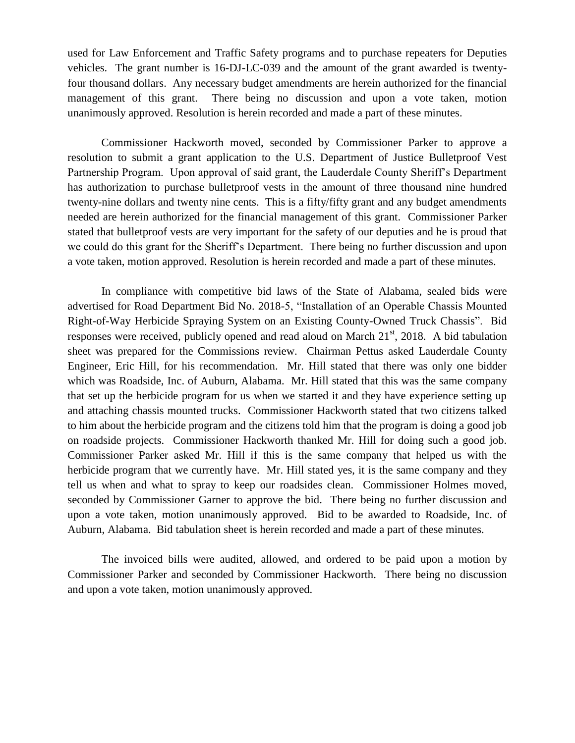used for Law Enforcement and Traffic Safety programs and to purchase repeaters for Deputies vehicles. The grant number is 16-DJ-LC-039 and the amount of the grant awarded is twentyfour thousand dollars. Any necessary budget amendments are herein authorized for the financial management of this grant. There being no discussion and upon a vote taken, motion unanimously approved. Resolution is herein recorded and made a part of these minutes.

Commissioner Hackworth moved, seconded by Commissioner Parker to approve a resolution to submit a grant application to the U.S. Department of Justice Bulletproof Vest Partnership Program. Upon approval of said grant, the Lauderdale County Sheriff's Department has authorization to purchase bulletproof vests in the amount of three thousand nine hundred twenty-nine dollars and twenty nine cents. This is a fifty/fifty grant and any budget amendments needed are herein authorized for the financial management of this grant. Commissioner Parker stated that bulletproof vests are very important for the safety of our deputies and he is proud that we could do this grant for the Sheriff's Department. There being no further discussion and upon a vote taken, motion approved. Resolution is herein recorded and made a part of these minutes.

In compliance with competitive bid laws of the State of Alabama, sealed bids were advertised for Road Department Bid No. 2018-5, "Installation of an Operable Chassis Mounted Right-of-Way Herbicide Spraying System on an Existing County-Owned Truck Chassis". Bid responses were received, publicly opened and read aloud on March  $21<sup>st</sup>$ , 2018. A bid tabulation sheet was prepared for the Commissions review. Chairman Pettus asked Lauderdale County Engineer, Eric Hill, for his recommendation. Mr. Hill stated that there was only one bidder which was Roadside, Inc. of Auburn, Alabama. Mr. Hill stated that this was the same company that set up the herbicide program for us when we started it and they have experience setting up and attaching chassis mounted trucks. Commissioner Hackworth stated that two citizens talked to him about the herbicide program and the citizens told him that the program is doing a good job on roadside projects. Commissioner Hackworth thanked Mr. Hill for doing such a good job. Commissioner Parker asked Mr. Hill if this is the same company that helped us with the herbicide program that we currently have. Mr. Hill stated yes, it is the same company and they tell us when and what to spray to keep our roadsides clean. Commissioner Holmes moved, seconded by Commissioner Garner to approve the bid. There being no further discussion and upon a vote taken, motion unanimously approved. Bid to be awarded to Roadside, Inc. of Auburn, Alabama. Bid tabulation sheet is herein recorded and made a part of these minutes.

The invoiced bills were audited, allowed, and ordered to be paid upon a motion by Commissioner Parker and seconded by Commissioner Hackworth. There being no discussion and upon a vote taken, motion unanimously approved.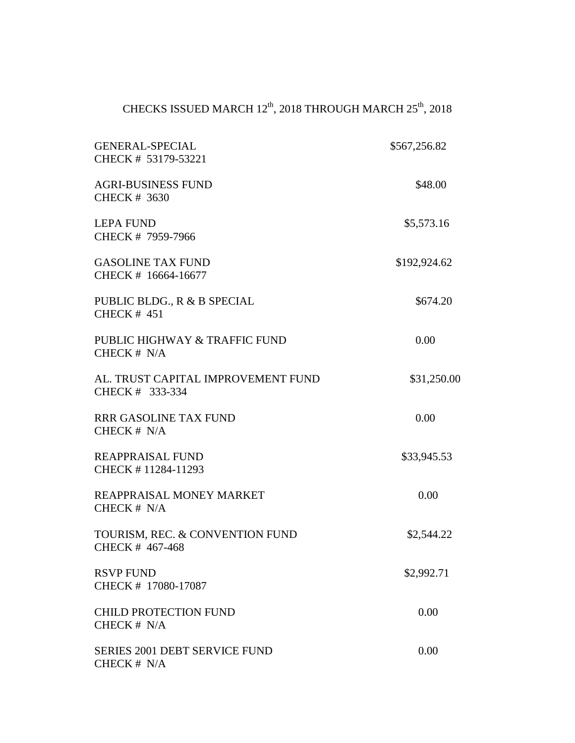## CHECKS ISSUED MARCH  $12^{\text{th}}$ ,  $2018$  THROUGH MARCH  $25^{\text{th}}$ ,  $2018$

| <b>GENERAL-SPECIAL</b><br>CHECK # 53179-53221         | \$567,256.82 |
|-------------------------------------------------------|--------------|
| <b>AGRI-BUSINESS FUND</b><br><b>CHECK # 3630</b>      | \$48.00      |
| <b>LEPA FUND</b><br>CHECK # 7959-7966                 | \$5,573.16   |
| <b>GASOLINE TAX FUND</b><br>CHECK # 16664-16677       | \$192,924.62 |
| PUBLIC BLDG., R & B SPECIAL<br>CHECK $#$ 451          | \$674.20     |
| PUBLIC HIGHWAY & TRAFFIC FUND<br>CHECK $# N/A$        | 0.00         |
| AL. TRUST CAPITAL IMPROVEMENT FUND<br>CHECK # 333-334 | \$31,250.00  |
| <b>RRR GASOLINE TAX FUND</b><br>CHECK $# N/A$         | 0.00         |
| <b>REAPPRAISAL FUND</b><br>CHECK #11284-11293         | \$33,945.53  |
| REAPPRAISAL MONEY MARKET<br>CHECK $# N/A$             | 0.00         |
| TOURISM, REC. & CONVENTION FUND<br>CHECK #467-468     | \$2,544.22   |
| <b>RSVP FUND</b><br>CHECK # 17080-17087               | \$2,992.71   |
| <b>CHILD PROTECTION FUND</b><br>CHECK # N/A           | 0.00         |
| <b>SERIES 2001 DEBT SERVICE FUND</b><br>CHECK # N/A   | 0.00         |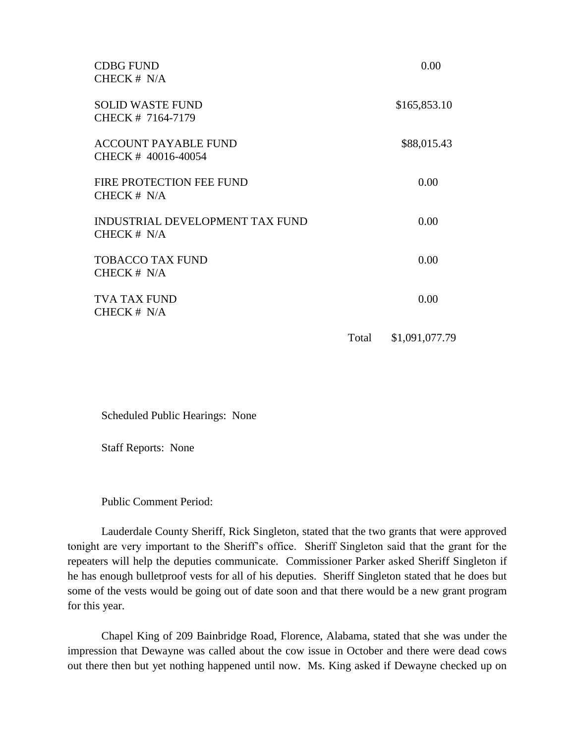| <b>CDBG FUND</b><br>CHECK $# N/A$                 |       | 0.00           |
|---------------------------------------------------|-------|----------------|
| <b>SOLID WASTE FUND</b><br>CHECK # 7164-7179      |       | \$165,853.10   |
| <b>ACCOUNT PAYABLE FUND</b><br>CHECK #40016-40054 |       | \$88,015.43    |
| FIRE PROTECTION FEE FUND<br>CHECK $# N/A$         |       | 0.00           |
| INDUSTRIAL DEVELOPMENT TAX FUND<br>CHECK # N/A    |       | 0.00           |
| <b>TOBACCO TAX FUND</b><br>CHECK $# N/A$          |       | 0.00           |
| <b>TVA TAX FUND</b><br>CHECK $# N/A$              |       | 0.00           |
|                                                   | Total | \$1,091,077.79 |

Scheduled Public Hearings: None

Staff Reports: None

Public Comment Period:

Lauderdale County Sheriff, Rick Singleton, stated that the two grants that were approved tonight are very important to the Sheriff's office. Sheriff Singleton said that the grant for the repeaters will help the deputies communicate. Commissioner Parker asked Sheriff Singleton if he has enough bulletproof vests for all of his deputies. Sheriff Singleton stated that he does but some of the vests would be going out of date soon and that there would be a new grant program for this year.

Chapel King of 209 Bainbridge Road, Florence, Alabama, stated that she was under the impression that Dewayne was called about the cow issue in October and there were dead cows out there then but yet nothing happened until now. Ms. King asked if Dewayne checked up on